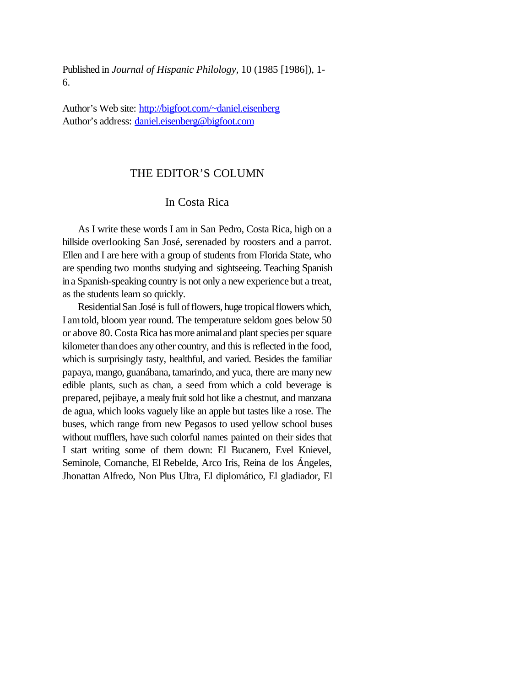Published in *Journal of Hispanic Philology,* 10 (1985 [1986]), 1- 6.

Author's Web site: http://bigfoot.com/~daniel.eisenberg Author's address: daniel.eisenberg@bigfoot.com

## THE EDITOR'S COLUMN

## In Costa Rica

As I write these words I am in San Pedro, Costa Rica, high on a hillside overlooking San José, serenaded by roosters and a parrot. Ellen and I are here with a group of students from Florida State, who are spending two months studying and sightseeing. Teaching Spanish ina Spanish-speaking country is not only a new experience but a treat, as the students learn so quickly.

Residential San José is full of flowers, huge tropical flowers which, I amtold, bloom year round. The temperature seldom goes below 50 or above 80. Costa Rica has more animaland plant species persquare kilometer than does any other country, and this is reflected in the food, which is surprisingly tasty, healthful, and varied. Besides the familiar papaya, mango, guanábana, tamarindo, and yuca, there are many new edible plants, such as chan, a seed from which a cold beverage is prepared, pejibaye, a mealy fruit sold hot like a chestnut, and manzana de agua, which looks vaguely like an apple but tastes like a rose. The buses, which range from new Pegasos to used yellow school buses without mufflers, have such colorful names painted on their sides that I start writing some of them down: El Bucanero, Evel Knievel, Seminole, Comanche, El Rebelde, Arco Iris, Reina de los Ángeles, Jhonattan Alfredo, Non Plus Ultra, El diplomático, El gladiador, El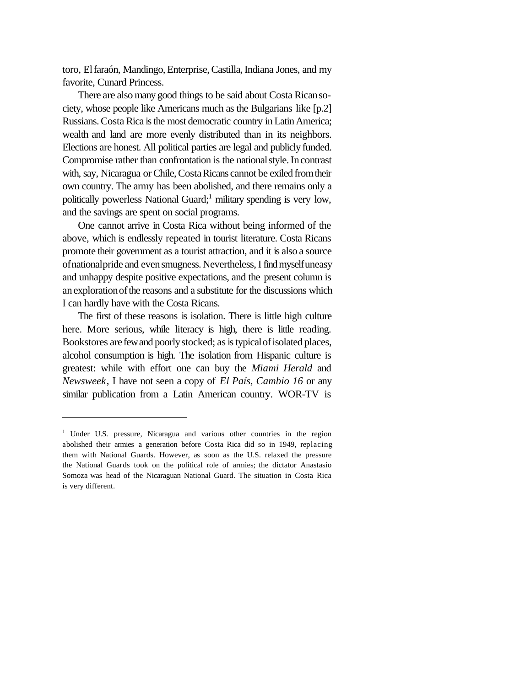toro, Elfaraón, Mandingo, Enterprise,Castilla,Indiana Jones, and my favorite, Cunard Princess.

There are also many good things to be said about Costa Ricansociety, whose people like Americans much as the Bulgarians like [p.2] Russians. Costa Rica is the most democratic country in Latin America; wealth and land are more evenly distributed than in its neighbors. Elections are honest. All political parties are legal and publicly funded. Compromise rather than confrontation is the national style. In contrast with, say, Nicaragua or Chile, Costa Ricans cannot be exiled from their own country. The army has been abolished, and there remains only a politically powerless National Guard;<sup>1</sup> military spending is very low, and the savings are spent on social programs.

One cannot arrive in Costa Rica without being informed of the above, which is endlessly repeated in tourist literature. Costa Ricans promote their government as a tourist attraction, and it is also a source ofnationalpride and evensmugness. Nevertheless,I findmyselfuneasy and unhappy despite positive expectations, and the present column is anexplorationofthe reasons and a substitute for the discussions which I can hardly have with the Costa Ricans.

The first of these reasons is isolation. There is little high culture here. More serious, while literacy is high, there is little reading. Bookstores are few and poorly stocked; as is typical of isolated places, alcohol consumption is high. The isolation from Hispanic culture is greatest: while with effort one can buy the *Miami Herald* and *Newsweek*, I have not seen a copy of *El País, Cambio 16* or any similar publication from a Latin American country. WOR-TV is

<sup>&</sup>lt;sup>1</sup> Under U.S. pressure, Nicaragua and various other countries in the region abolished their armies a generation before Costa Rica did so in 1949, replacing them with National Guards. However, as soon as the U.S. relaxed the pressure the National Guards took on the political role of armies; the dictator Anastasio Somoza was head of the Nicaraguan National Guard. The situation in Costa Rica is very different.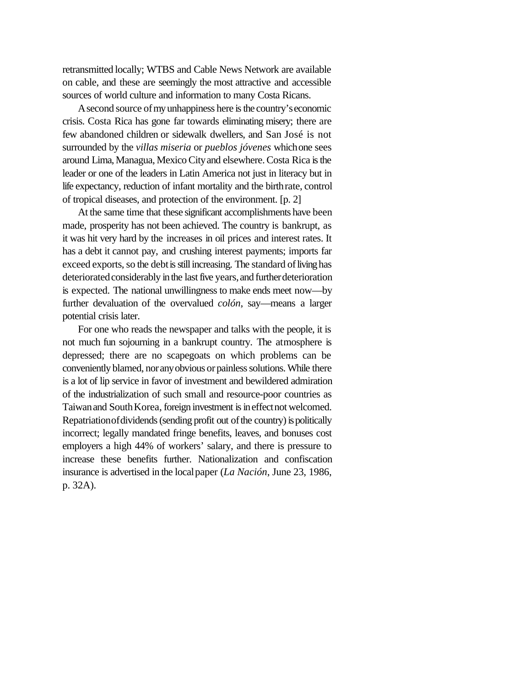retransmitted locally; WTBS and Cable News Network are available on cable, and these are seemingly the most attractive and accessible sources of world culture and information to many Costa Ricans.

A second source of my unhappiness here is the country's economic crisis. Costa Rica has gone far towards eliminating misery; there are few abandoned children or sidewalk dwellers, and San José is not surrounded by the *villas miseria* or *pueblos jóvenes* whichone sees around Lima, Managua, Mexico City and elsewhere. Costa Rica is the leader or one of the leaders in Latin America not just in literacy but in life expectancy, reduction of infant mortality and the birthrate, control of tropical diseases, and protection of the environment. [p. 2]

At the same time that these significant accomplishments have been made, prosperity has not been achieved. The country is bankrupt, as it was hit very hard by the increases in oil prices and interest rates. It has a debt it cannot pay, and crushing interest payments; imports far exceed exports, so the debt is still increasing. The standard of living has deteriorated considerably in the last five years, and further deterioration is expected. The national unwillingness to make ends meet now—by further devaluation of the overvalued *colón*, say—means a larger potential crisis later.

For one who reads the newspaper and talks with the people, it is not much fun sojourning in a bankrupt country. The atmosphere is depressed; there are no scapegoats on which problems can be conveniently blamed, nor any obvious or painless solutions. While there is a lot of lip service in favor of investment and bewildered admiration of the industrialization of such small and resource-poor countries as Taiwan and South Korea, foreign investment is in effect not welcomed. Repatriation of dividends (sending profit out of the country) is politically incorrect; legally mandated fringe benefits, leaves, and bonuses cost employers a high 44% of workers' salary, and there is pressure to increase these benefits further. Nationalization and confiscation insurance is advertised in the localpaper (*La Nación*, June 23, 1986, p. 32A).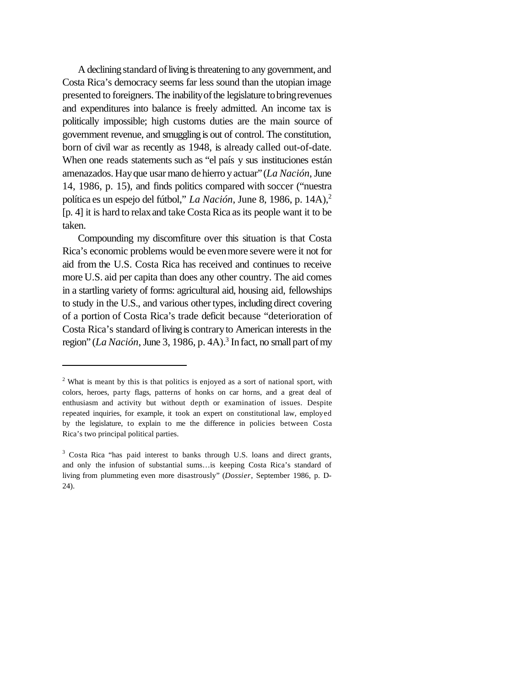A declining standard of living is threatening to any government, and Costa Rica's democracy seems far less sound than the utopian image presented to foreigners. The inability of the legislature to bring revenues and expenditures into balance is freely admitted. An income tax is politically impossible; high customs duties are the main source of government revenue, and smugglingis out of control. The constitution, born of civil war as recently as 1948, is already called out-of-date. When one reads statements such as "el país y sus instituciones están amenazados. Hayque usar mano dehierro yactuar"(*La Nación*,June 14, 1986, p. 15), and finds politics compared with soccer ("nuestra política es un espejo del fútbol," La Nación, June 8, 1986, p. 14A).<sup>2</sup> [p. 4] it is hard to relax and take Costa Rica as its people want it to be taken.

Compounding my discomfiture over this situation is that Costa Rica's economic problems would be evenmore severe were it not for aid from the U.S. Costa Rica has received and continues to receive more U.S. aid per capita than does any other country. The aid comes in a startling variety of forms: agricultural aid, housing aid, fellowships to study in the U.S., and various other types, including direct covering of a portion of Costa Rica's trade deficit because "deterioration of Costa Rica's standard of living is contrary to American interests in the region" (*La Nación*, June 3, 1986, p. 4A).<sup>3</sup> In fact, no small part of my

<sup>&</sup>lt;sup>2</sup> What is meant by this is that politics is enjoyed as a sort of national sport, with colors, heroes, party flags, patterns of honks on car horns, and a great deal of enthusiasm and activity but without depth or examination of issues. Despite repeated inquiries, for example, it took an expert on constitutional law, employed by the legislature, to explain to me the difference in policies between Costa Rica's two principal political parties.

<sup>&</sup>lt;sup>3</sup> Costa Rica "has paid interest to banks through U.S. loans and direct grants, and only the infusion of substantial sums…is keeping Costa Rica's standard of living from plummeting even more disastrously" (*Dossier*, September 1986, p. D-24).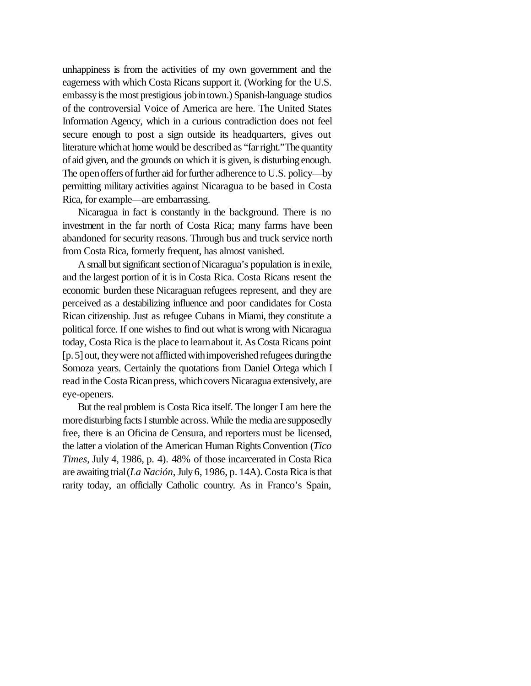unhappiness is from the activities of my own government and the eagerness with which Costa Ricans support it. (Working for the U.S. embassy is the most prestigious job in town.) Spanish-language studios of the controversial Voice of America are here. The United States Information Agency, which in a curious contradiction does not feel secure enough to post a sign outside its headquarters, gives out literature whichat home would be described as "farright."The quantity of aid given, and the grounds on which it is given, is disturbing enough. The open offers of further aid for further adherence to U.S. policy—by permitting military activities against Nicaragua to be based in Costa Rica, for example—are embarrassing.

Nicaragua in fact is constantly in the background. There is no investment in the far north of Costa Rica; many farms have been abandoned for security reasons. Through bus and truck service north from Costa Rica, formerly frequent, has almost vanished.

A small but significant section of Nicaragua's population is inexile, and the largest portion of it is in Costa Rica. Costa Ricans resent the economic burden these Nicaraguan refugees represent, and they are perceived as a destabilizing influence and poor candidates for Costa Rican citizenship. Just as refugee Cubans in Miami, they constitute a political force. If one wishes to find out what is wrong with Nicaragua today, Costa Rica is the place to learnabout it. AsCosta Ricans point [p. 5] out, they were not afflicted with impoverished refugees during the Somoza years. Certainly the quotations from Daniel Ortega which I read in the Costa Rican press, which covers Nicaragua extensively, are eye-openers.

But the real problem is Costa Rica itself. The longer I am here the more disturbing facts I stumble across. While the media are supposedly free, there is an Oficina de Censura, and reporters must be licensed, the latter a violation of the American Human RightsConvention (*Tico Times*, July 4, 1986, p. 4). 48% of those incarcerated in Costa Rica are awaiting trial(*La Nación*,July 6, 1986, p. 14A). Costa Rica isthat rarity today, an officially Catholic country. As in Franco's Spain,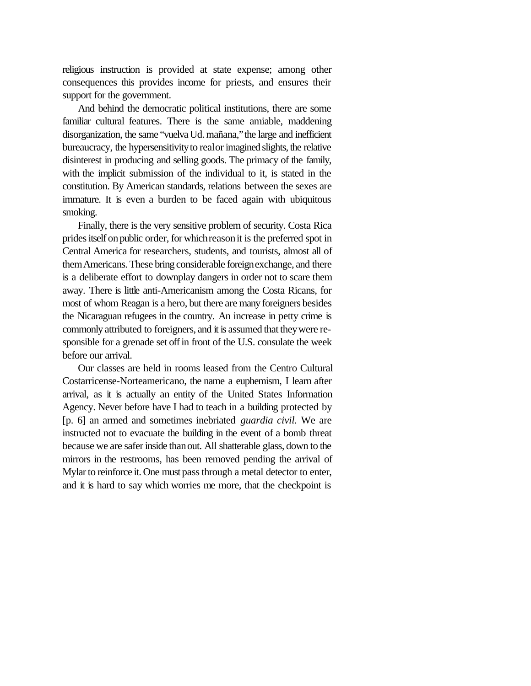religious instruction is provided at state expense; among other consequences this provides income for priests, and ensures their support for the government.

And behind the democratic political institutions, there are some familiar cultural features. There is the same amiable, maddening disorganization, the same "vuelva Ud. mañana," the large and inefficient bureaucracy, the hypersensitivityto realor imagined slights, the relative disinterest in producing and selling goods. The primacy of the family, with the implicit submission of the individual to it, is stated in the constitution. By American standards, relations between the sexes are immature. It is even a burden to be faced again with ubiquitous smoking.

Finally, there is the very sensitive problem of security. Costa Rica prides itself on public order, for which reason it is the preferred spot in Central America for researchers, students, and tourists, almost all of themAmericans. These bring considerable foreignexchange, and there is a deliberate effort to downplay dangers in order not to scare them away. There is little anti-Americanism among the Costa Ricans, for most of whom Reagan is a hero, but there are many foreigners besides the Nicaraguan refugees in the country. An increase in petty crime is commonly attributed to foreigners, and it is assumed that theywere responsible for a grenade set offin front of the U.S. consulate the week before our arrival.

Our classes are held in rooms leased from the Centro Cultural Costarricense-Norteamericano, the name a euphemism, I learn after arrival, as it is actually an entity of the United States Information Agency. Never before have I had to teach in a building protected by [p. 6] an armed and sometimes inebriated *guardia civil.* We are instructed not to evacuate the building in the event of a bomb threat because we are saferinside thanout. All shatterable glass, down to the mirrors in the restrooms, has been removed pending the arrival of Mylar to reinforce it. One must pass through a metal detector to enter, and it is hard to say which worries me more, that the checkpoint is